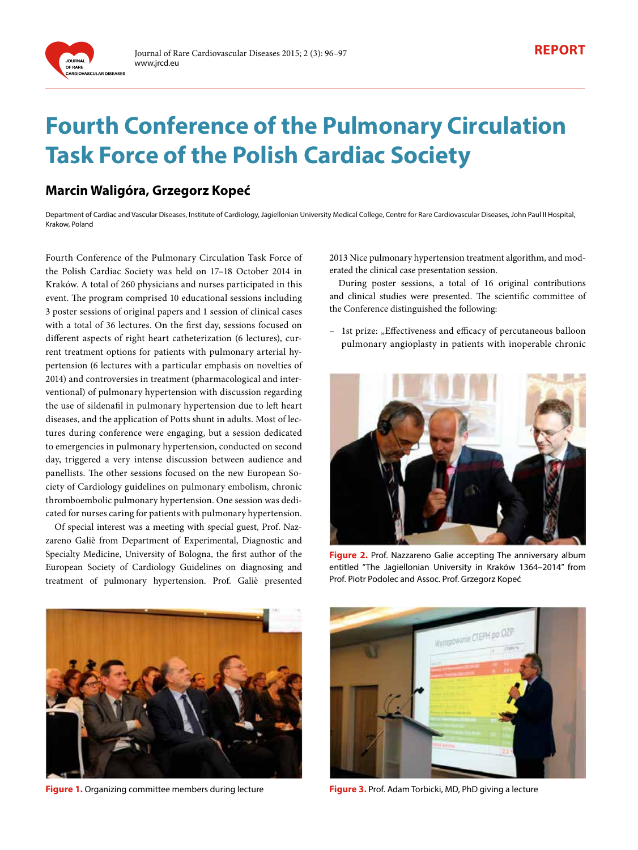

# **Fourth Conference of the Pulmonary Circulation Task Force of the Polish Cardiac Society**

# **Marcin Waligóra, Grzegorz Kopeć**

Department of Cardiac and Vascular Diseases, Institute of Cardiology, Jagiellonian University Medical College, Centre for Rare Cardiovascular Diseases, John Paul II Hospital, Krakow, Poland

Fourth Conference of the Pulmonary Circulation Task Force of the Polish Cardiac Society was held on 17–18 October 2014 in Kraków. A total of 260 physicians and nurses participated in this event. The program comprised 10 educational sessions including 3 poster sessions of original papers and 1 session of clinical cases with a total of 36 lectures. On the first day, sessions focused on different aspects of right heart catheterization (6 lectures), current treatment options for patients with pulmonary arterial hypertension (6 lectures with a particular emphasis on novelties of 2014) and controversies in treatment (pharmacological and interventional) of pulmonary hypertension with discussion regarding the use of sildenafil in pulmonary hypertension due to left heart diseases, and the application of Potts shunt in adults. Most of lectures during conference were engaging, but a session dedicated to emergencies in pulmonary hypertension, conducted on second day, triggered a very intense discussion between audience and panellists. The other sessions focused on the new European Society of Cardiology guidelines on pulmonary embolism, chronic thromboembolic pulmonary hypertension. One session was dedicated for nurses caring for patients with pulmonary hypertension.

Of special interest was a meeting with special guest, Prof. Nazzareno Galiè from Department of Experimental, Diagnostic and Specialty Medicine, University of Bologna, the first author of the European Society of Cardiology Guidelines on diagnosing and treatment of pulmonary hypertension. Prof. Galiè presented

2013 Nice pulmonary hypertension treatment algorithm, and moderated the clinical case presentation session.

During poster sessions, a total of 16 original contributions and clinical studies were presented. The scientific committee of the Conference distinguished the following:

- 1st prize: "Effectiveness and efficacy of percutaneous balloon pulmonary angioplasty in patients with inoperable chronic



**Figure 2.** Prof. Nazzareno Galie accepting The anniversary album entitled "The Jagiellonian University in Kraków 1364–2014" from Prof. Piotr Podolec and Assoc. Prof. Grzegorz Kopeć



**Figure 1.** Organizing committee members during lecture



**Figure 3.** Prof. Adam Torbicki, MD, PhD giving a lecture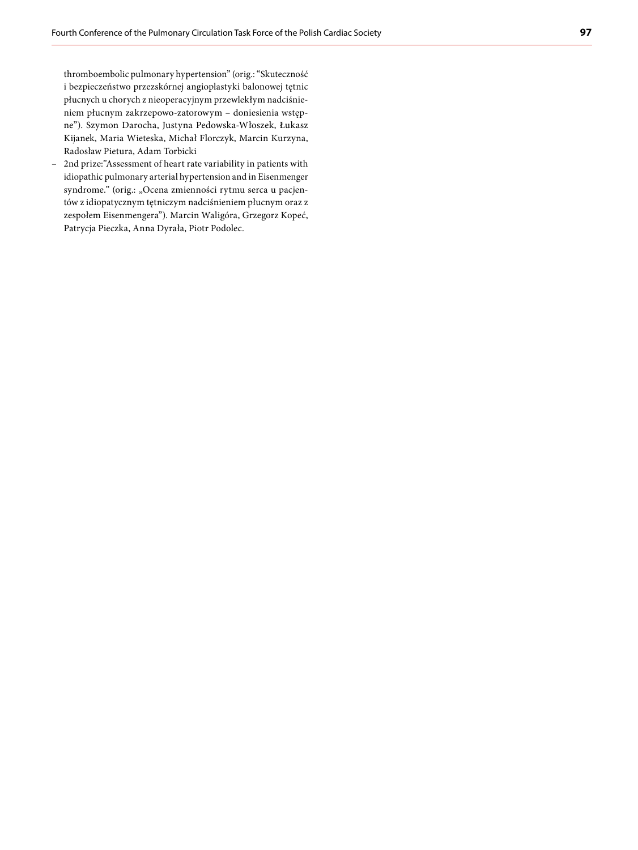thromboembolic pulmonary hypertension" (orig.: "Skuteczność i bezpieczeństwo przezskórnej angioplastyki balonowej tętnic płucnych u chorych z nieoperacyjnym przewlekłym nadciśnie ‑ niem płucnym zakrzepowo‑zatorowym – doniesienia wstęp ‑ ne"). Szymon Darocha, Justyna Pedowska‑Włoszek, Łukasz Kijanek, Maria Wieteska, Michał Florczyk, Marcin Kurzyna, Radosław Pietura, Adam Torbicki

– 2nd prize:"Assessment of heart rate variability in patients with idiopathic pulmonary arterial hypertension and in Eisenmenger syndrome." (orig.: "Ocena zmienności rytmu serca u pacjentów z idiopatycznym tętniczym nadciśnieniem płucnym oraz z zespołem Eisenmengera"). Marcin Waligóra, Grzegorz Kopeć, Patrycja Pieczka, Anna Dyrała, Piotr Podolec.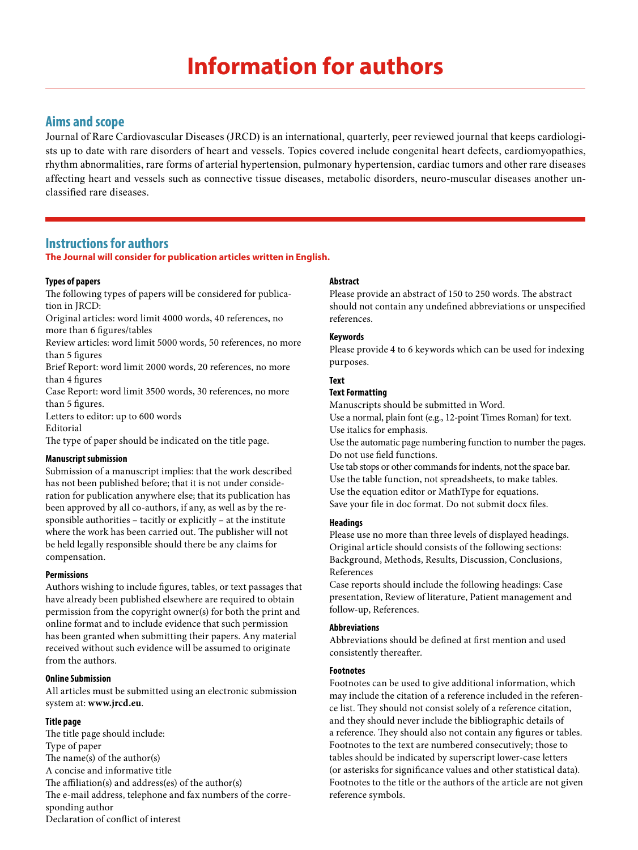# **Information for authors**

# **Aims and scope**

Journal of Rare Cardiovascular Diseases (JRCD) is an international, quarterly, peer reviewed journal that keeps cardiologists up to date with rare disorders of heart and vessels. Topics covered include congenital heart defects, cardiomyopathies, rhythm abnormalities, rare forms of arterial hypertension, pulmonary hypertension, cardiac tumors and other rare diseases affecting heart and vessels such as connective tissue diseases, metabolic disorders, neuro-muscular diseases another unclassified rare diseases.

# **Instructions for authors**

# **The Journal will consider for publication articles written in English.**

# **Types of papers**

The following types of papers will be considered for publication in JRCD:

Original articles: word limit 4000 words, 40 references, no more than 6 figures/tables

Review articles: word limit 5000 words, 50 references, no more than 5 figures

Brief Report: word limit 2000 words, 20 references, no more than 4 figures

Case Report: word limit 3500 words, 30 references, no more than 5 figures.

Letters to editor: up to 600 words Editorial

The type of paper should be indicated on the title page.

# **Manuscript submission**

Submission of a manuscript implies: that the work described has not been published before; that it is not under consideration for publication anywhere else; that its publication has been approved by all co-authors, if any, as well as by the responsible authorities – tacitly or explicitly – at the institute where the work has been carried out. The publisher will not be held legally responsible should there be any claims for compensation.

# **Permissions**

Authors wishing to include figures, tables, or text passages that have already been published elsewhere are required to obtain permission from the copyright owner(s) for both the print and online format and to include evidence that such permission has been granted when submitting their papers. Any material received without such evidence will be assumed to originate from the authors.

#### **Online Submission**

All articles must be submitted using an electronic submission system at: **www.jrcd.eu**.

# **Title page**

The title page should include: Type of paper The name(s) of the author(s) A concise and informative title The affiliation(s) and address(es) of the author(s) The e-mail address, telephone and fax numbers of the corresponding author Declaration of conflict of interest

# **Abstract**

Please provide an abstract of 150 to 250 words. The abstract should not contain any undefined abbreviations or unspecified references.

# **Keywords**

Please provide 4 to 6 keywords which can be used for indexing purposes.

# **Text**

#### **Text Formatting**

Manuscripts should be submitted in Word. Use a normal, plain font (e.g., 12‑point Times Roman) for text. Use italics for emphasis. Use the automatic page numbering function to number the pages. Do not use field functions.

Use tab stops or other commands for indents, not the space bar. Use the table function, not spreadsheets, to make tables. Use the equation editor or MathType for equations. Save your file in doc format. Do not submit docx files.

#### **Headings**

Please use no more than three levels of displayed headings. Original article should consists of the following sections: Background, Methods, Results, Discussion, Conclusions, References

Case reports should include the following headings: Case presentation, Review of literature, Patient management and follow‑up, References.

#### **Abbreviations**

Abbreviations should be defined at first mention and used consistently thereafter.

#### **Footnotes**

Footnotes can be used to give additional information, which may include the citation of a reference included in the reference list. They should not consist solely of a reference citation, and they should never include the bibliographic details of a reference. They should also not contain any figures or tables. Footnotes to the text are numbered consecutively; those to tables should be indicated by superscript lower-case letters (or asterisks for significance values and other statistical data). Footnotes to the title or the authors of the article are not given reference symbols.